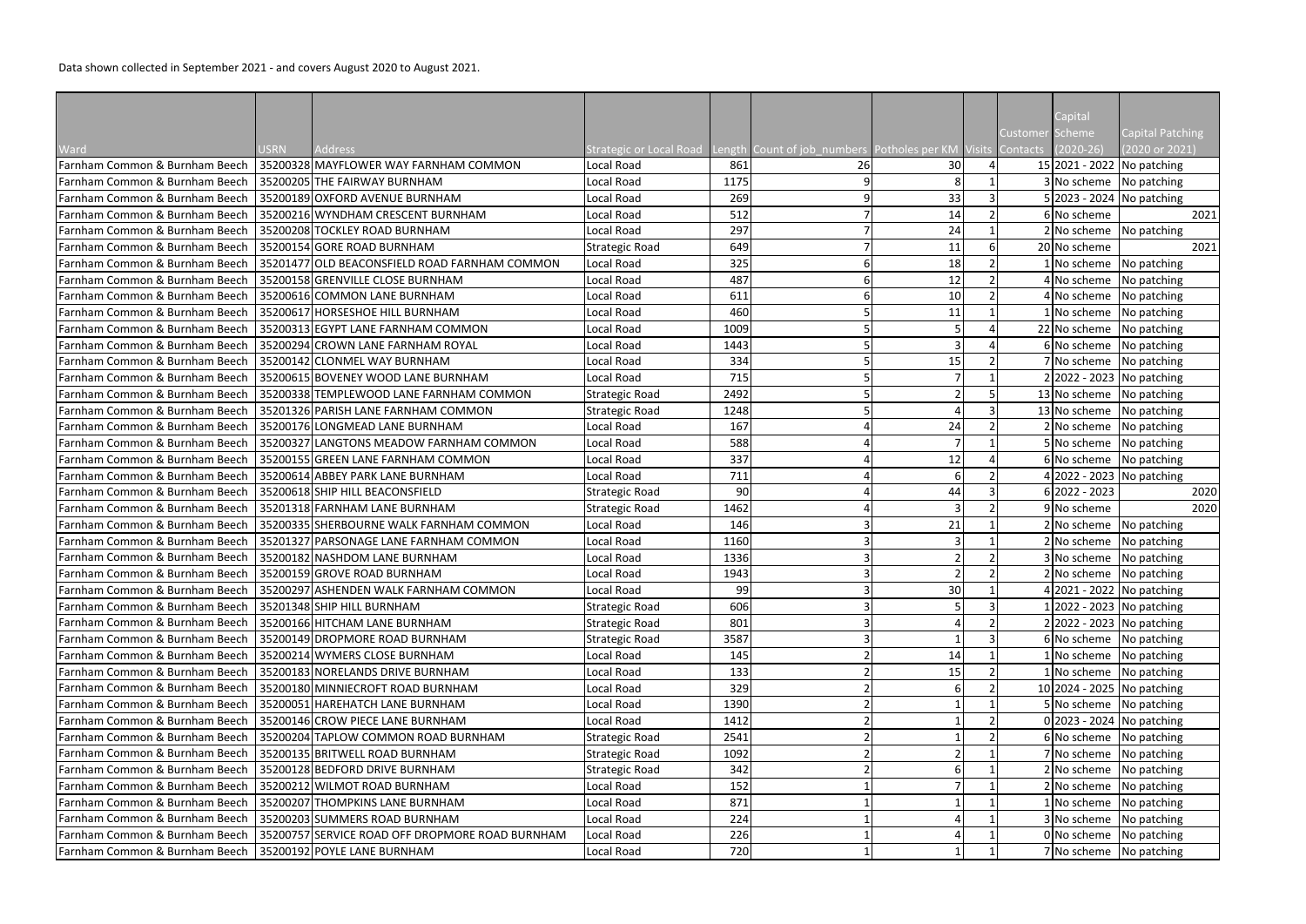Data shown collected in September 2021 - and covers August 2020 to August 2021.

|                                |             |                                                 |                         |      |                                                             |    |                |                 | Capital         |                              |
|--------------------------------|-------------|-------------------------------------------------|-------------------------|------|-------------------------------------------------------------|----|----------------|-----------------|-----------------|------------------------------|
|                                |             |                                                 |                         |      |                                                             |    |                | <b>Customer</b> | Scheme          | <b>Capital Patching</b>      |
| Ward                           | <b>USRN</b> | Address                                         | Strategic or Local Road |      | Length Count of job_numbers Potholes per KM Visits Contacts |    |                |                 | $(2020-26)$     | (2020 or 2021)               |
| Farnham Common & Burnham Beech | 35200328    | MAYFLOWER WAY FARNHAM COMMON                    | Local Road              | 861  | 26                                                          | 30 | $\overline{4}$ |                 |                 | 15 2021 - 2022 No patching   |
| Farnham Common & Burnham Beech |             | 35200205 THE FAIRWAY BURNHAM                    | Local Road              | 1175 | 9                                                           | 8  |                |                 |                 | 3 No scheme No patching      |
| Farnham Common & Burnham Beech |             | 35200189 OXFORD AVENUE BURNHAM                  | Local Road              | 269  | 9                                                           | 33 | 3              |                 |                 | 5 2023 - 2024 No patching    |
| Farnham Common & Burnham Beech |             | 35200216 WYNDHAM CRESCENT BURNHAM               | Local Road              | 512  |                                                             | 14 |                |                 | 6 No scheme     | 2021                         |
| Farnham Common & Burnham Beech |             | 35200208 TOCKLEY ROAD BURNHAM                   | Local Road              | 297  |                                                             | 24 |                |                 |                 | $2 No scheme$ No patching    |
| Farnham Common & Burnham Beech |             | 35200154 GORE ROAD BURNHAM                      | <b>Strategic Road</b>   | 649  |                                                             | 11 |                |                 | 20 No scheme    | 2021                         |
| Farnham Common & Burnham Beech |             | 35201477 OLD BEACONSFIELD ROAD FARNHAM COMMON   | Local Road              | 325  |                                                             | 18 |                |                 |                 | 1 No scheme No patching      |
| Farnham Common & Burnham Beech |             | 35200158 GRENVILLE CLOSE BURNHAM                | Local Road              | 487  |                                                             | 12 | $\overline{2}$ |                 |                 | 4 No scheme No patching      |
| Farnham Common & Burnham Beech |             | 35200616 COMMON LANE BURNHAM                    | Local Road              | 611  |                                                             | 10 | $\overline{2}$ |                 |                 | 4 No scheme No patching      |
| Farnham Common & Burnham Beech |             | 35200617 HORSESHOE HILL BURNHAM                 | Local Road              | 460  |                                                             | 11 |                |                 |                 | 1 No scheme No patching      |
| Farnham Common & Burnham Beech |             | 35200313 EGYPT LANE FARNHAM COMMON              | Local Road              | 1009 |                                                             |    |                |                 |                 | 22 No scheme No patching     |
| Farnham Common & Burnham Beech |             | 35200294 CROWN LANE FARNHAM ROYAL               | Local Road              | 1443 |                                                             | 3  |                |                 |                 | 6 No scheme No patching      |
| Farnham Common & Burnham Beech |             | 35200142 CLONMEL WAY BURNHAM                    | Local Road              | 334  |                                                             | 15 |                |                 |                 | 7 No scheme No patching      |
| Farnham Common & Burnham Beech |             | 35200615 BOVENEY WOOD LANE BURNHAM              | Local Road              | 715  |                                                             |    |                |                 |                 | 2 2022 - 2023 No patching    |
| Farnham Common & Burnham Beech |             | 35200338 TEMPLEWOOD LANE FARNHAM COMMON         | <b>Strategic Road</b>   | 2492 |                                                             |    |                |                 |                 | 13 No scheme No patching     |
| Farnham Common & Burnham Beech |             | 35201326 PARISH LANE FARNHAM COMMON             | <b>Strategic Road</b>   | 1248 |                                                             |    | 3              |                 |                 | 13 No scheme No patching     |
| Farnham Common & Burnham Beech |             | 35200176 LONGMEAD LANE BURNHAM                  | Local Road              | 167  |                                                             | 24 |                |                 |                 | 2 No scheme No patching      |
| Farnham Common & Burnham Beech |             | 35200327 LANGTONS MEADOW FARNHAM COMMON         | Local Road              | 588  |                                                             | 7  |                |                 |                 | 5 No scheme No patching      |
| Farnham Common & Burnham Beech |             | 35200155 GREEN LANE FARNHAM COMMON              | Local Road              | 337  |                                                             | 12 |                |                 |                 | 6 No scheme No patching      |
| Farnham Common & Burnham Beech |             | 35200614 ABBEY PARK LANE BURNHAM                | Local Road              | 711  |                                                             | 6  |                |                 |                 | 4 2022 - 2023 No patching    |
| Farnham Common & Burnham Beech |             | 35200618 SHIP HILL BEACONSFIELD                 | <b>Strategic Road</b>   | 90   |                                                             | 44 |                |                 | $6 2022 - 2023$ | 2020                         |
| Farnham Common & Burnham Beech |             | 35201318 FARNHAM LANE BURNHAM                   | <b>Strategic Road</b>   | 1462 |                                                             | 3  |                |                 | 9 No scheme     | 2020                         |
| Farnham Common & Burnham Beech |             | 35200335 SHERBOURNE WALK FARNHAM COMMON         | Local Road              | 146  |                                                             | 21 |                |                 | 2 No scheme     | No patching                  |
| Farnham Common & Burnham Beech |             | 35201327 PARSONAGE LANE FARNHAM COMMON          | Local Road              | 1160 |                                                             | 3  |                |                 |                 | 2 No scheme No patching      |
| Farnham Common & Burnham Beech |             | 35200182 NASHDOM LANE BURNHAM                   | Local Road              | 1336 |                                                             |    |                |                 | 3 No scheme     | No patching                  |
| Farnham Common & Burnham Beech |             | 35200159 GROVE ROAD BURNHAM                     | Local Road              | 1943 |                                                             |    | $\overline{2}$ |                 |                 | 2 No scheme No patching      |
| Farnham Common & Burnham Beech |             | 35200297 ASHENDEN WALK FARNHAM COMMON           | Local Road              | 99   |                                                             | 30 |                |                 |                 | 4 2021 - 2022 No patching    |
| Farnham Common & Burnham Beech |             | 35201348 SHIP HILL BURNHAM                      | <b>Strategic Road</b>   | 606  |                                                             |    |                |                 |                 | $1 2022 - 2023 $ No patching |
| Farnham Common & Burnham Beech |             | 35200166 HITCHAM LANE BURNHAM                   | <b>Strategic Road</b>   | 801  |                                                             |    |                |                 |                 | 2 2022 - 2023 No patching    |
| Farnham Common & Burnham Beech |             | 35200149 DROPMORE ROAD BURNHAM                  | <b>Strategic Road</b>   | 3587 |                                                             |    |                |                 |                 | 6 No scheme No patching      |
| Farnham Common & Burnham Beech |             | 35200214 WYMERS CLOSE BURNHAM                   | Local Road              | 145  |                                                             | 14 |                |                 |                 | 1 No scheme No patching      |
| Farnham Common & Burnham Beech |             | 35200183 NORELANDS DRIVE BURNHAM                | Local Road              | 133  |                                                             | 15 |                |                 |                 | 1 No scheme No patching      |
| Farnham Common & Burnham Beech |             | 35200180 MINNIECROFT ROAD BURNHAM               | Local Road              | 329  |                                                             |    |                |                 |                 | 10 2024 - 2025 No patching   |
| Farnham Common & Burnham Beech |             | 35200051 HAREHATCH LANE BURNHAM                 | Local Road              | 1390 |                                                             |    |                |                 |                 | 5 No scheme No patching      |
| Farnham Common & Burnham Beech |             | 35200146 CROW PIECE LANE BURNHAM                | Local Road              | 1412 |                                                             |    | $\overline{2}$ |                 |                 | 0 2023 - 2024 No patching    |
| Farnham Common & Burnham Beech |             | 35200204 TAPLOW COMMON ROAD BURNHAM             | <b>Strategic Road</b>   | 2541 |                                                             |    |                |                 |                 | 6 No scheme No patching      |
| Farnham Common & Burnham Beech |             | 35200135 BRITWELL ROAD BURNHAM                  | <b>Strategic Road</b>   | 1092 |                                                             |    |                |                 |                 | 7 No scheme No patching      |
| Farnham Common & Burnham Beech |             | 35200128 BEDFORD DRIVE BURNHAM                  | <b>Strategic Road</b>   | 342  |                                                             | 6  |                |                 | 2 No scheme     | No patching                  |
| Farnham Common & Burnham Beech |             | 35200212 WILMOT ROAD BURNHAM                    | Local Road              | 152  |                                                             |    |                |                 |                 | 2 No scheme No patching      |
| Farnham Common & Burnham Beech |             | 35200207 THOMPKINS LANE BURNHAM                 | Local Road              | 871  |                                                             |    |                |                 |                 | 1 No scheme No patching      |
| Farnham Common & Burnham Beech |             | 35200203 SUMMERS ROAD BURNHAM                   | Local Road              | 224  |                                                             |    |                |                 |                 | 3 No scheme No patching      |
| Farnham Common & Burnham Beech |             | 35200757 SERVICE ROAD OFF DROPMORE ROAD BURNHAM | Local Road              | 226  |                                                             |    |                |                 | 0 No scheme     | No patching                  |
| Farnham Common & Burnham Beech |             | 35200192 POYLE LANE BURNHAM                     | Local Road              | 720  |                                                             |    |                |                 |                 | 7 No scheme No patching      |